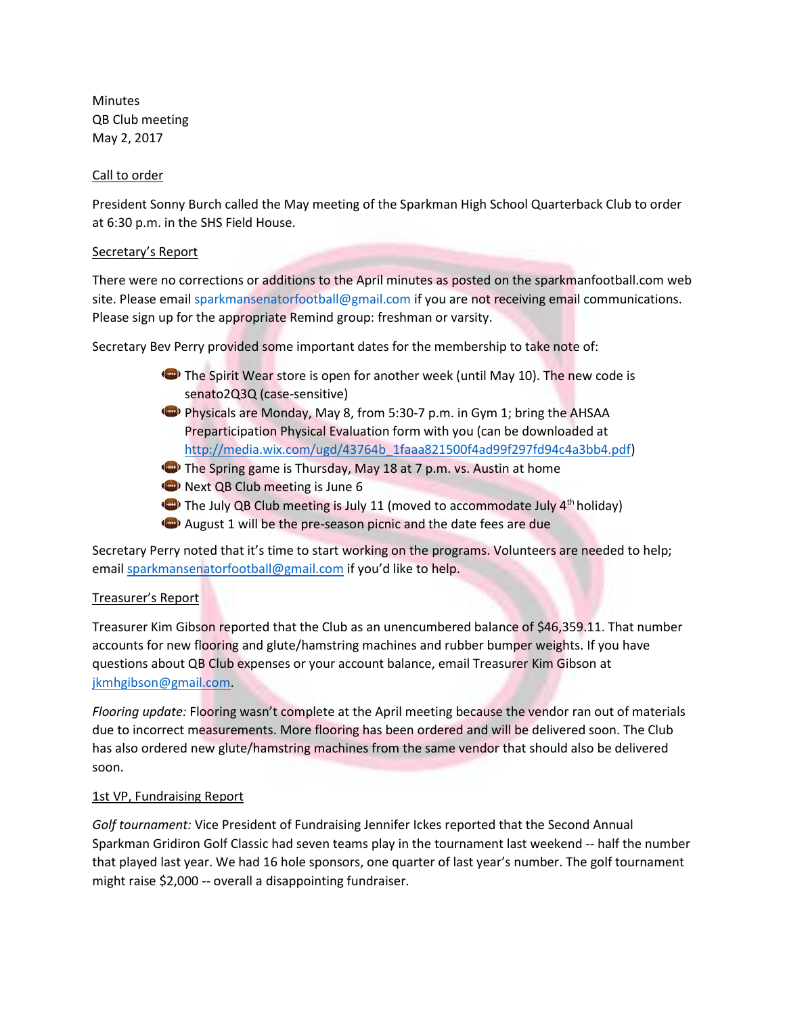Minutes QB Club meeting May 2, 2017

### Call to order

President Sonny Burch called the May meeting of the Sparkman High School Quarterback Club to order at 6:30 p.m. in the SHS Field House.

### Secretary's Report

There were no corrections or additions to the April minutes as posted on the sparkmanfootball.com web site. Please emai[l sparkmansenatorfootball@gmail.com](mailto:sparkmansenatorfootball@gmail.com) if you are not receiving email communications. Please sign up for the appropriate Remind group: freshman or varsity.

Secretary Bev Perry provided some important dates for the membership to take note of:

- The Spirit Wear store is open for another week (until May 10). The new code is senato2Q3Q (case-sensitive)
- Physicals are Monday, May 8, from 5:30-7 p.m. in Gym 1; bring the AHSAA Preparticipation Physical Evaluation form with you (can be downloaded at [http://media.wix.com/ugd/43764b\\_1faaa821500f4ad99f297fd94c4a3bb4.pdf\)](http://media.wix.com/ugd/43764b_1faaa821500f4ad99f297fd94c4a3bb4.pdf)
- **D** The Spring game is Thursday, May 18 at 7 p.m. vs. Austin at home
- Next QB Club meeting is June 6
- $\bigodot$  The July QB Club meeting is July 11 (moved to accommodate July 4<sup>th</sup> holiday)
- August 1 will be the pre-season picnic and the date fees are due

Secretary Perry noted that it's time to start working on the programs. Volunteers are needed to help; email [sparkmansenatorfootball@gmail.com](mailto:sparkmansenatorfootball@gmail.com) if you'd like to help.

#### Treasurer's Report

Treasurer Kim Gibson reported that the Club as an unencumbered balance of \$46,359.11. That number accounts for new flooring and glute/hamstring machines and rubber bumper weights. If you have questions about QB Club expenses or your account balance, email Treasurer Kim Gibson at [jkmhgibson@gmail.com.](mailto:jkmhgibson@gmail.com)

*Flooring update:* Flooring wasn't complete at the April meeting because the vendor ran out of materials due to incorrect measurements. More flooring has been ordered and will be delivered soon. The Club has also ordered new glute/hamstring machines from the same vendor that should also be delivered soon.

# 1st VP, Fundraising Report

*Golf tournament:* Vice President of Fundraising Jennifer Ickes reported that the Second Annual Sparkman Gridiron Golf Classic had seven teams play in the tournament last weekend -- half the number that played last year. We had 16 hole sponsors, one quarter of last year's number. The golf tournament might raise \$2,000 -- overall a disappointing fundraiser.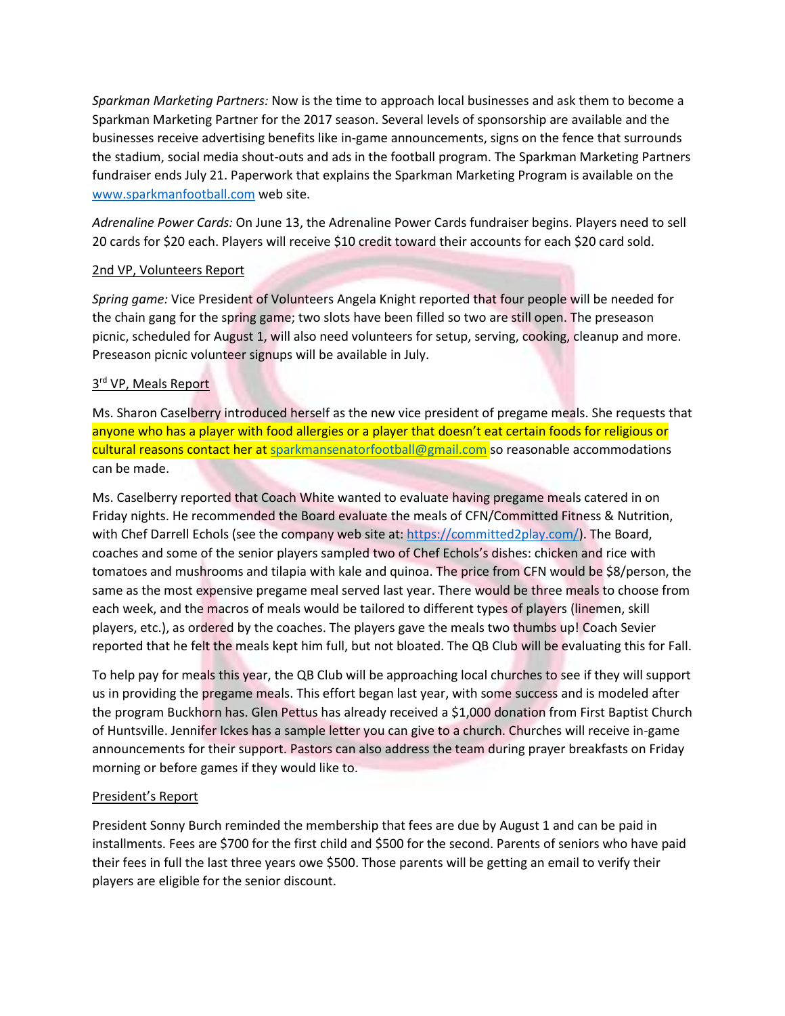*Sparkman Marketing Partners:* Now is the time to approach local businesses and ask them to become a Sparkman Marketing Partner for the 2017 season. Several levels of sponsorship are available and the businesses receive advertising benefits like in-game announcements, signs on the fence that surrounds the stadium, social media shout-outs and ads in the football program. The Sparkman Marketing Partners fundraiser ends July 21. Paperwork that explains the Sparkman Marketing Program is available on the [www.sparkmanfootball.com](www.sparkmanfootball.com%20) web site.

*Adrenaline Power Cards:* On June 13, the Adrenaline Power Cards fundraiser begins. Players need to sell 20 cards for \$20 each. Players will receive \$10 credit toward their accounts for each \$20 card sold.

## 2nd VP, Volunteers Report

*Spring game:* Vice President of Volunteers Angela Knight reported that four people will be needed for the chain gang for the spring game; two slots have been filled so two are still open. The preseason picnic, scheduled for August 1, will also need volunteers for setup, serving, cooking, cleanup and more. Preseason picnic volunteer signups will be available in July.

# 3<sup>rd</sup> VP, Meals Report

Ms. Sharon Caselberry introduced herself as the new vice president of pregame meals. She requests that anyone who has a player with food allergies or a player that doesn't eat certain foods for religious or cultural reasons contact her at [sparkmansenatorfootball@gmail.com](mailto:sparkmansenatorfootball@gmail.com) so reasonable accommodations can be made.

Ms. Caselberry reported that Coach White wanted to evaluate having pregame meals catered in on Friday nights. He recommended the Board evaluate the meals of CFN/Committed Fitness & Nutrition, with Chef Darrell Echols (see the company web site at: [https://committed2play.com/\)](https://committed2play.com/). The Board, coaches and some of the senior players sampled two of Chef Echols's dishes: chicken and rice with tomatoes and mushrooms and tilapia with kale and quinoa. The price from CFN would be \$8/person, the same as the most expensive pregame meal served last year. There would be three meals to choose from each week, and the macros of meals would be tailored to different types of players (linemen, skill players, etc.), as ordered by the coaches. The players gave the meals two thumbs up! Coach Sevier reported that he felt the meals kept him full, but not bloated. The QB Club will be evaluating this for Fall.

To help pay for meals this year, the QB Club will be approaching local churches to see if they will support us in providing the pregame meals. This effort began last year, with some success and is modeled after the program Buckhorn has. Glen Pettus has already received a \$1,000 donation from First Baptist Church of Huntsville. Jennifer Ickes has a sample letter you can give to a church. Churches will receive in-game announcements for their support. Pastors can also address the team during prayer breakfasts on Friday morning or before games if they would like to.

# President's Report

President Sonny Burch reminded the membership that fees are due by August 1 and can be paid in installments. Fees are \$700 for the first child and \$500 for the second. Parents of seniors who have paid their fees in full the last three years owe \$500. Those parents will be getting an email to verify their players are eligible for the senior discount.